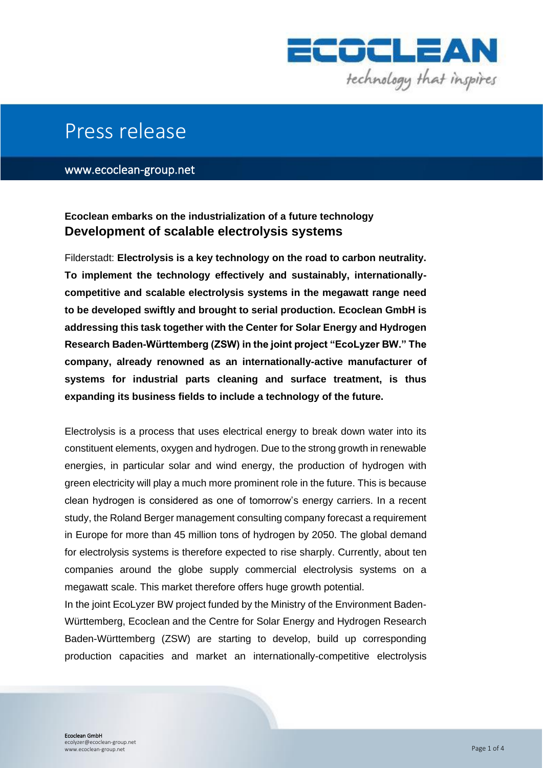

## Press release

www.ecoclean-group.net

## **Ecoclean embarks on the industrialization of a future technology Development of scalable electrolysis systems**

Filderstadt: **Electrolysis is a key technology on the road to carbon neutrality. To implement the technology effectively and sustainably, internationallycompetitive and scalable electrolysis systems in the megawatt range need to be developed swiftly and brought to serial production. Ecoclean GmbH is addressing this task together with the Center for Solar Energy and Hydrogen Research Baden-Württemberg (ZSW) in the joint project "EcoLyzer BW." The company, already renowned as an internationally-active manufacturer of systems for industrial parts cleaning and surface treatment, is thus expanding its business fields to include a technology of the future.**

Electrolysis is a process that uses electrical energy to break down water into its constituent elements, oxygen and hydrogen. Due to the strong growth in renewable energies, in particular solar and wind energy, the production of hydrogen with green electricity will play a much more prominent role in the future. This is because clean hydrogen is considered as one of tomorrow's energy carriers. In a recent study, the Roland Berger management consulting company forecast a requirement in Europe for more than 45 million tons of hydrogen by 2050. The global demand for electrolysis systems is therefore expected to rise sharply. Currently, about ten companies around the globe supply commercial electrolysis systems on a megawatt scale. This market therefore offers huge growth potential.

In the joint EcoLyzer BW project funded by the Ministry of the Environment Baden-Württemberg, Ecoclean and the Centre for Solar Energy and Hydrogen Research Baden-Württemberg (ZSW) are starting to develop, build up corresponding production capacities and market an internationally-competitive electrolysis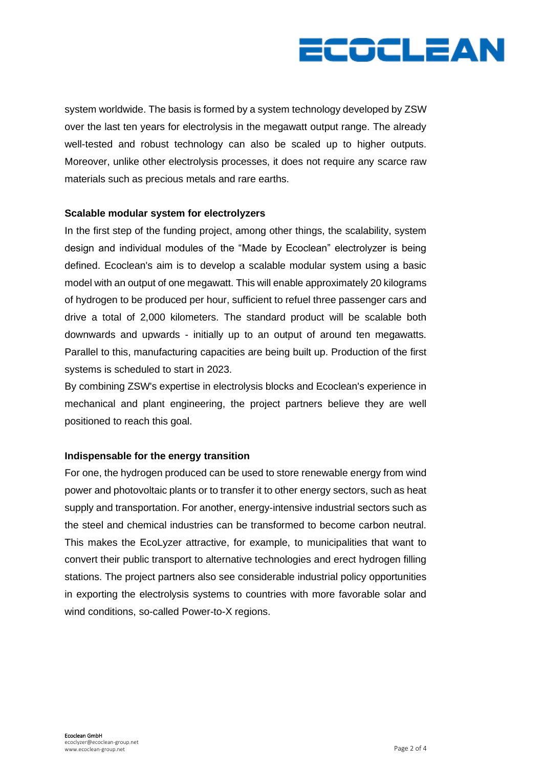

system worldwide. The basis is formed by a system technology developed by ZSW over the last ten years for electrolysis in the megawatt output range. The already well-tested and robust technology can also be scaled up to higher outputs. Moreover, unlike other electrolysis processes, it does not require any scarce raw materials such as precious metals and rare earths.

## **Scalable modular system for electrolyzers**

In the first step of the funding project, among other things, the scalability, system design and individual modules of the "Made by Ecoclean" electrolyzer is being defined. Ecoclean's aim is to develop a scalable modular system using a basic model with an output of one megawatt. This will enable approximately 20 kilograms of hydrogen to be produced per hour, sufficient to refuel three passenger cars and drive a total of 2,000 kilometers. The standard product will be scalable both downwards and upwards - initially up to an output of around ten megawatts. Parallel to this, manufacturing capacities are being built up. Production of the first systems is scheduled to start in 2023.

By combining ZSW's expertise in electrolysis blocks and Ecoclean's experience in mechanical and plant engineering, the project partners believe they are well positioned to reach this goal.

## **Indispensable for the energy transition**

For one, the hydrogen produced can be used to store renewable energy from wind power and photovoltaic plants or to transfer it to other energy sectors, such as heat supply and transportation. For another, energy-intensive industrial sectors such as the steel and chemical industries can be transformed to become carbon neutral. This makes the EcoLyzer attractive, for example, to municipalities that want to convert their public transport to alternative technologies and erect hydrogen filling stations. The project partners also see considerable industrial policy opportunities in exporting the electrolysis systems to countries with more favorable solar and wind conditions, so-called Power-to-X regions.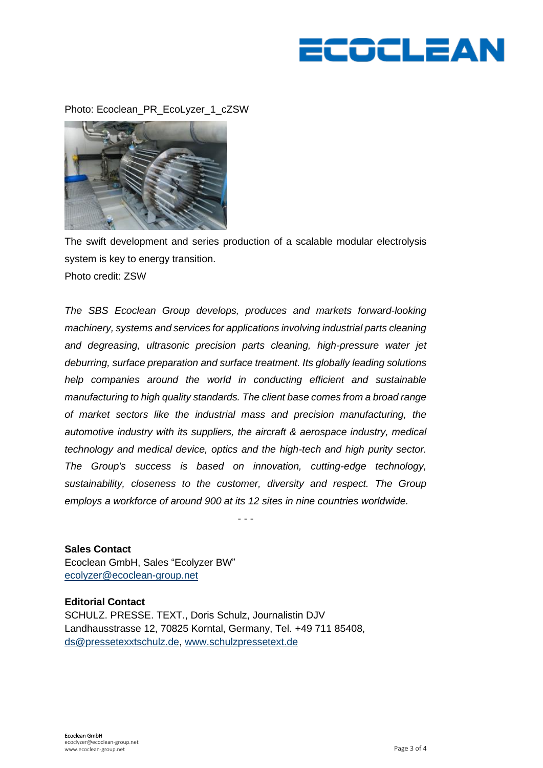

Photo: Ecoclean\_PR\_EcoLyzer\_1\_cZSW



The swift development and series production of a scalable modular electrolysis system is key to energy transition. Photo credit: ZSW

*The SBS Ecoclean Group develops, produces and markets forward-looking machinery, systems and services for applications involving industrial parts cleaning*  and degreasing, ultrasonic precision parts cleaning, high-pressure water jet *deburring, surface preparation and surface treatment. Its globally leading solutions help companies around the world in conducting efficient and sustainable manufacturing to high quality standards. The client base comes from a broad range of market sectors like the industrial mass and precision manufacturing, the automotive industry with its suppliers, the aircraft & aerospace industry, medical technology and medical device, optics and the high-tech and high purity sector. The Group's success is based on innovation, cutting-edge technology, sustainability, closeness to the customer, diversity and respect. The Group employs a workforce of around 900 at its 12 sites in nine countries worldwide.*

- - -

**Sales Contact** Ecoclean GmbH, Sales "Ecolyzer BW" [ecolyzer@ecoclean-group.net](mailto:ecolyzer@ecoclean-group.net)

**Editorial Contact** SCHULZ. PRESSE. TEXT., Doris Schulz, Journalistin DJV Landhausstrasse 12, 70825 Korntal, Germany, Tel. +49 711 85408, [ds@pressetexxtschulz.de,](mailto:ds@pressetexxtschulz.de) [www.schulzpressetext.de](http://www.schulzpressetext.de/)